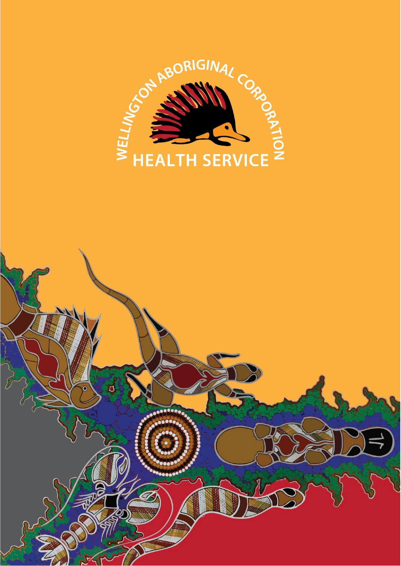

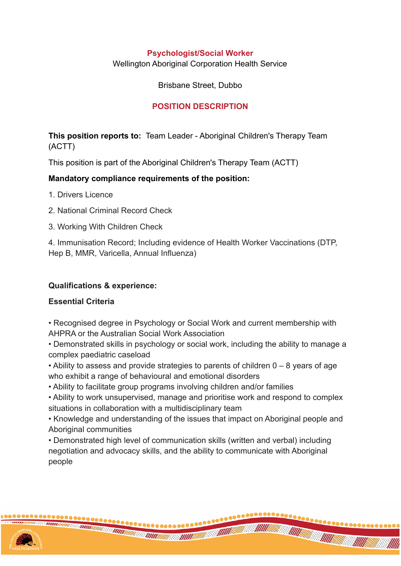#### **Psychologist/Social Worker**

Wellington Aboriginal Corporation Health Service

Brisbane Street, Dubbo

## **POSITION DESCRIPTION**

**This position reports to:** Team Leader - Aboriginal Children's Therapy Team (ACTT)

This position is part of the Aboriginal Children's Therapy Team (ACTT)

## **Mandatory compliance requirements of the position:**

- 1. Drivers Licence
- 2. National Criminal Record Check
- 3. Working With Children Check

4. Immunisation Record; Including evidence of Health Worker Vaccinations (DTP, Hep B, MMR, Varicella, Annual Influenza)

### **Qualifications & experience:**

#### **Essential Criteria**

• Recognised degree in Psychology or Social Work and current membership with AHPRA or the Australian Social Work Association

• Demonstrated skills in psychology or social work, including the ability to manage a complex paediatric caseload

• Ability to assess and provide strategies to parents of children 0 – 8 years of age who exhibit a range of behavioural and emotional disorders

• Ability to facilitate group programs involving children and/or families

• Ability to work unsupervised, manage and prioritise work and respond to complex situations in collaboration with a multidisciplinary team

• Knowledge and understanding of the issues that impact on Aboriginal people and Aboriginal communities

**THE CONTRACTOR** 

• Demonstrated high level of communication skills (written and verbal) including negotiation and advocacy skills, and the ability to communicate with Aboriginal people

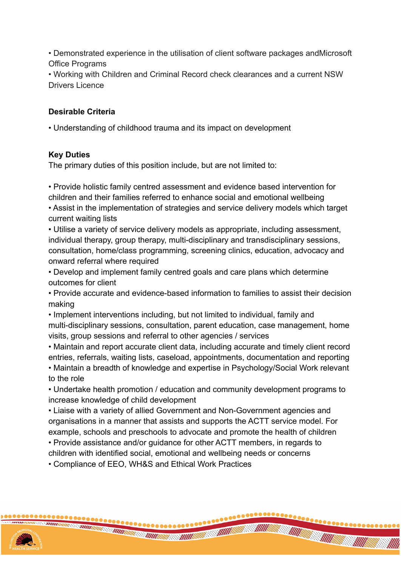• Demonstrated experience in the utilisation of client software packages andMicrosoft Office Programs

• Working with Children and Criminal Record check clearances and a current NSW Drivers Licence

## **Desirable Criteria**

• Understanding of childhood trauma and its impact on development

#### **Key Duties**

The primary duties of this position include, but are not limited to:

• Provide holistic family centred assessment and evidence based intervention for children and their families referred to enhance social and emotional wellbeing

• Assist in the implementation of strategies and service delivery models which target current waiting lists

• Utilise a variety of service delivery models as appropriate, including assessment, individual therapy, group therapy, multi-disciplinary and transdisciplinary sessions, consultation, home/class programming, screening clinics, education, advocacy and onward referral where required

• Develop and implement family centred goals and care plans which determine outcomes for client

• Provide accurate and evidence-based information to families to assist their decision making

• Implement interventions including, but not limited to individual, family and multi-disciplinary sessions, consultation, parent education, case management, home visits, group sessions and referral to other agencies / services

• Maintain and report accurate client data, including accurate and timely client record entries, referrals, waiting lists, caseload, appointments, documentation and reporting

• Maintain a breadth of knowledge and expertise in Psychology/Social Work relevant to the role

• Undertake health promotion / education and community development programs to increase knowledge of child development

• Liaise with a variety of allied Government and Non-Government agencies and organisations in a manner that assists and supports the ACTT service model. For example, schools and preschools to advocate and promote the health of children

**THE CONTRACTOR** 

• Provide assistance and/or guidance for other ACTT members, in regards to

children with identified social, emotional and wellbeing needs or concerns

• Compliance of EEO, WH&S and Ethical Work Practices

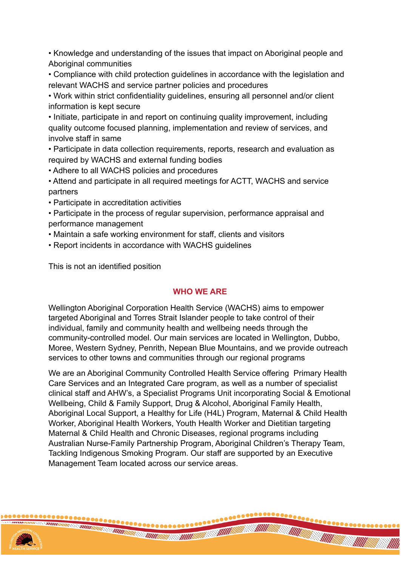• Knowledge and understanding of the issues that impact on Aboriginal people and Aboriginal communities

• Compliance with child protection guidelines in accordance with the legislation and relevant WACHS and service partner policies and procedures

• Work within strict confidentiality guidelines, ensuring all personnel and/or client information is kept secure

• Initiate, participate in and report on continuing quality improvement, including quality outcome focused planning, implementation and review of services, and involve staff in same

• Participate in data collection requirements, reports, research and evaluation as required by WACHS and external funding bodies

• Adhere to all WACHS policies and procedures

• Attend and participate in all required meetings for ACTT, WACHS and service partners

• Participate in accreditation activities

• Participate in the process of regular supervision, performance appraisal and performance management

- Maintain a safe working environment for staff, clients and visitors
- Report incidents in accordance with WACHS guidelines

This is not an identified position

# **WHO WE ARE**

Wellington Aboriginal Corporation Health Service (WACHS) aims to empower targeted Aboriginal and Torres Strait Islander people to take control of their individual, family and community health and wellbeing needs through the community-controlled model. Our main services are located in Wellington, Dubbo, Moree, Western Sydney, Penrith, Nepean Blue Mountains, and we provide outreach services to other towns and communities through our regional programs

We are an Aboriginal Community Controlled Health Service offering Primary Health Care Services and an Integrated Care program, as well as a number of specialist clinical staff and AHW's, a Specialist Programs Unit incorporating Social & Emotional Wellbeing, Child & Family Support, Drug & Alcohol, Aboriginal Family Health, Aboriginal Local Support, a Healthy for Life (H4L) Program, Maternal & Child Health Worker, Aboriginal Health Workers, Youth Health Worker and Dietitian targeting Maternal & Child Health and Chronic Diseases, regional programs including Australian Nurse-Family Partnership Program, Aboriginal Children's Therapy Team, Tackling Indigenous Smoking Program. Our staff are supported by an Executive Management Team located across our service areas.

 $\bullet\bullet\bullet\bullet\bullet\bullet\bullet$ 

**THE CONSTRUCTION OF THE CONSTRUCTION**